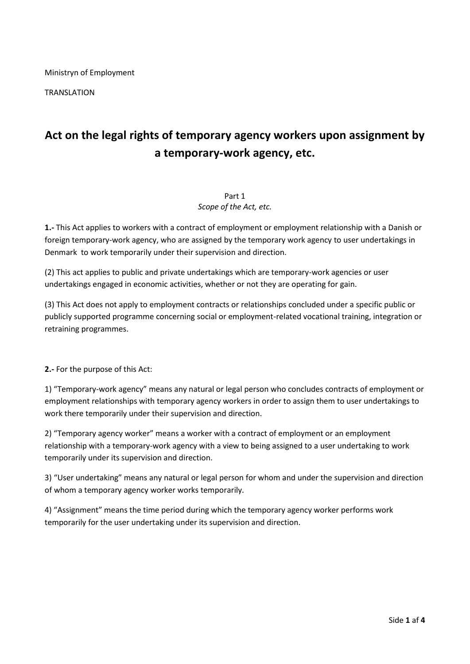Ministryn of Employment

TRANSLATION

# **Act on the legal rights of temporary agency workers upon assignment by a temporary-work agency, etc.**

#### Part 1 *Scope of the Act, etc.*

**1.-** This Act applies to workers with a contract of employment or employment relationship with a Danish or foreign temporary-work agency, who are assigned by the temporary work agency to user undertakings in Denmark to work temporarily under their supervision and direction.

(2) This act applies to public and private undertakings which are temporary-work agencies or user undertakings engaged in economic activities, whether or not they are operating for gain.

(3) This Act does not apply to employment contracts or relationships concluded under a specific public or publicly supported programme concerning social or employment-related vocational training, integration or retraining programmes.

**2.-** For the purpose of this Act:

1) "Temporary-work agency" means any natural or legal person who concludes contracts of employment or employment relationships with temporary agency workers in order to assign them to user undertakings to work there temporarily under their supervision and direction.

2) "Temporary agency worker" means a worker with a contract of employment or an employment relationship with a temporary-work agency with a view to being assigned to a user undertaking to work temporarily under its supervision and direction.

3) "User undertaking" means any natural or legal person for whom and under the supervision and direction of whom a temporary agency worker works temporarily.

4) "Assignment" means the time period during which the temporary agency worker performs work temporarily for the user undertaking under its supervision and direction.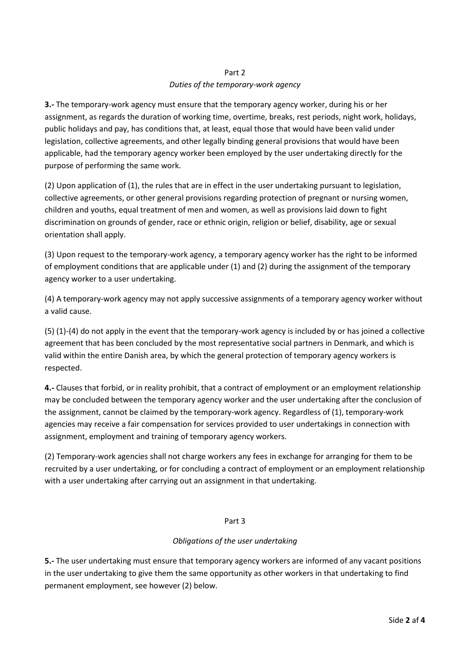## Part 2 *Duties of the temporary-work agency*

**3.-** The temporary-work agency must ensure that the temporary agency worker, during his or her assignment, as regards the duration of working time, overtime, breaks, rest periods, night work, holidays, public holidays and pay, has conditions that, at least, equal those that would have been valid under legislation, collective agreements, and other legally binding general provisions that would have been applicable, had the temporary agency worker been employed by the user undertaking directly for the purpose of performing the same work.

(2) Upon application of (1), the rules that are in effect in the user undertaking pursuant to legislation, collective agreements, or other general provisions regarding protection of pregnant or nursing women, children and youths, equal treatment of men and women, as well as provisions laid down to fight discrimination on grounds of gender, race or ethnic origin, religion or belief, disability, age or sexual orientation shall apply.

(3) Upon request to the temporary-work agency, a temporary agency worker has the right to be informed of employment conditions that are applicable under (1) and (2) during the assignment of the temporary agency worker to a user undertaking.

(4) A temporary-work agency may not apply successive assignments of a temporary agency worker without a valid cause.

(5) (1)-(4) do not apply in the event that the temporary-work agency is included by or has joined a collective agreement that has been concluded by the most representative social partners in Denmark, and which is valid within the entire Danish area, by which the general protection of temporary agency workers is respected.

**4.-** Clauses that forbid, or in reality prohibit, that a contract of employment or an employment relationship may be concluded between the temporary agency worker and the user undertaking after the conclusion of the assignment, cannot be claimed by the temporary-work agency. Regardless of (1), temporary-work agencies may receive a fair compensation for services provided to user undertakings in connection with assignment, employment and training of temporary agency workers.

(2) Temporary-work agencies shall not charge workers any fees in exchange for arranging for them to be recruited by a user undertaking, or for concluding a contract of employment or an employment relationship with a user undertaking after carrying out an assignment in that undertaking.

### Part 3

### *Obligations of the user undertaking*

**5.-** The user undertaking must ensure that temporary agency workers are informed of any vacant positions in the user undertaking to give them the same opportunity as other workers in that undertaking to find permanent employment, see however (2) below.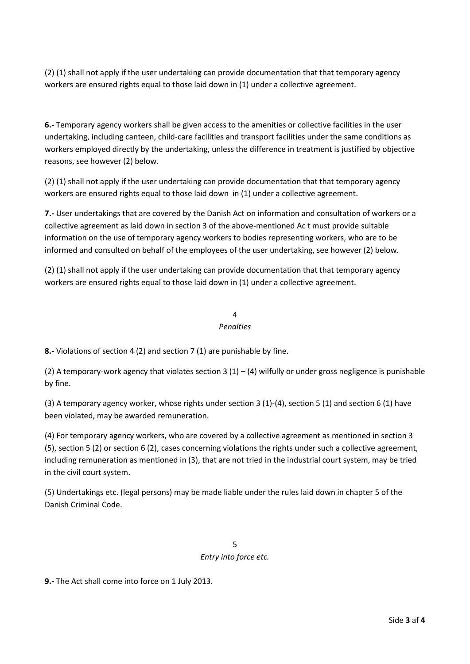(2) (1) shall not apply if the user undertaking can provide documentation that that temporary agency workers are ensured rights equal to those laid down in (1) under a collective agreement.

**6.-** Temporary agency workers shall be given access to the amenities or collective facilities in the user undertaking, including canteen, child-care facilities and transport facilities under the same conditions as workers employed directly by the undertaking, unless the difference in treatment is justified by objective reasons, see however (2) below.

(2) (1) shall not apply if the user undertaking can provide documentation that that temporary agency workers are ensured rights equal to those laid down in (1) under a collective agreement.

**7.-** User undertakings that are covered by the Danish Act on information and consultation of workers or a collective agreement as laid down in section 3 of the above-mentioned Ac t must provide suitable information on the use of temporary agency workers to bodies representing workers, who are to be informed and consulted on behalf of the employees of the user undertaking, see however (2) below.

(2) (1) shall not apply if the user undertaking can provide documentation that that temporary agency workers are ensured rights equal to those laid down in (1) under a collective agreement.

#### 4 *Penalties*

**8.-** Violations of section 4 (2) and section 7 (1) are punishable by fine.

(2) A temporary-work agency that violates section  $3(1) - (4)$  wilfully or under gross negligence is punishable by fine.

(3) A temporary agency worker, whose rights under section 3 (1)-(4), section 5 (1) and section 6 (1) have been violated, may be awarded remuneration.

(4) For temporary agency workers, who are covered by a collective agreement as mentioned in section 3 (5), section 5 (2) or section 6 (2), cases concerning violations the rights under such a collective agreement, including remuneration as mentioned in (3), that are not tried in the industrial court system, may be tried in the civil court system.

(5) Undertakings etc. (legal persons) may be made liable under the rules laid down in chapter 5 of the Danish Criminal Code.

> 5 *Entry into force etc.*

**9.-** The Act shall come into force on 1 July 2013.